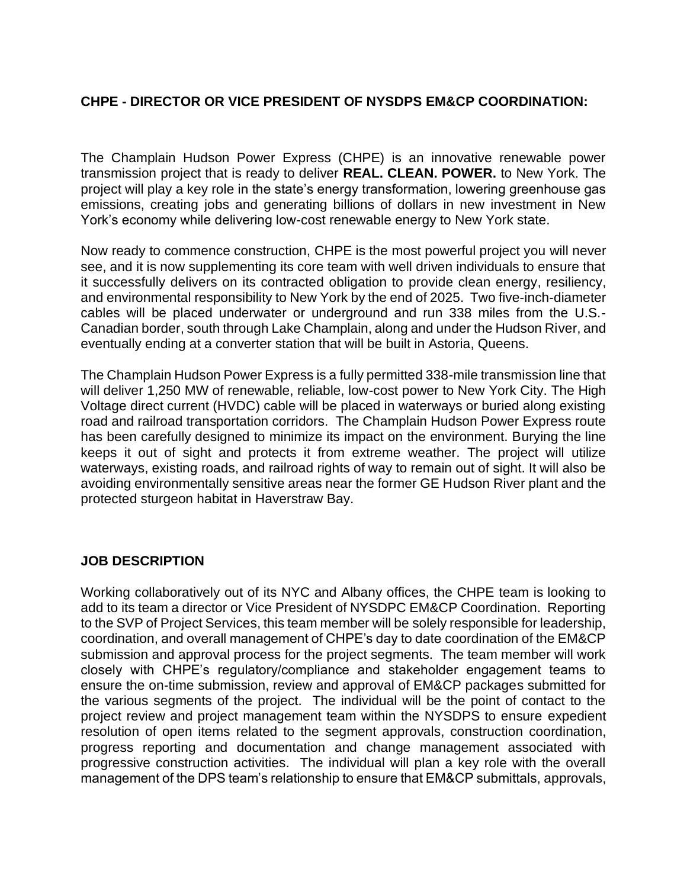## **CHPE - DIRECTOR OR VICE PRESIDENT OF NYSDPS EM&CP COORDINATION:**

The Champlain Hudson Power Express (CHPE) is an innovative renewable power transmission project that is ready to deliver **REAL. CLEAN. POWER.** to New York. The project will play a key role in the state's energy transformation, lowering greenhouse gas emissions, creating jobs and generating billions of dollars in new investment in New York's economy while delivering low-cost renewable energy to New York state.

Now ready to commence construction, CHPE is the most powerful project you will never see, and it is now supplementing its core team with well driven individuals to ensure that it successfully delivers on its contracted obligation to provide clean energy, resiliency, and environmental responsibility to New York by the end of 2025. Two five-inch-diameter cables will be placed underwater or underground and run 338 miles from the U.S.- Canadian border, south through Lake Champlain, along and under the Hudson River, and eventually ending at a converter station that will be built in Astoria, Queens.

The Champlain Hudson Power Express is a fully permitted 338-mile transmission line that will deliver 1,250 MW of renewable, reliable, low-cost power to New York City. The High Voltage direct current (HVDC) cable will be placed in waterways or buried along existing road and railroad transportation corridors. The Champlain Hudson Power Express route has been carefully designed to minimize its impact on the environment. Burying the line keeps it out of sight and protects it from extreme weather. The project will utilize waterways, existing roads, and railroad rights of way to remain out of sight. It will also be avoiding environmentally sensitive areas near the former GE Hudson River plant and the protected sturgeon habitat in Haverstraw Bay.

## **JOB DESCRIPTION**

Working collaboratively out of its NYC and Albany offices, the CHPE team is looking to add to its team a director or Vice President of NYSDPC EM&CP Coordination. Reporting to the SVP of Project Services, this team member will be solely responsible for leadership, coordination, and overall management of CHPE's day to date coordination of the EM&CP submission and approval process for the project segments. The team member will work closely with CHPE's regulatory/compliance and stakeholder engagement teams to ensure the on-time submission, review and approval of EM&CP packages submitted for the various segments of the project. The individual will be the point of contact to the project review and project management team within the NYSDPS to ensure expedient resolution of open items related to the segment approvals, construction coordination, progress reporting and documentation and change management associated with progressive construction activities. The individual will plan a key role with the overall management of the DPS team's relationship to ensure that EM&CP submittals, approvals,